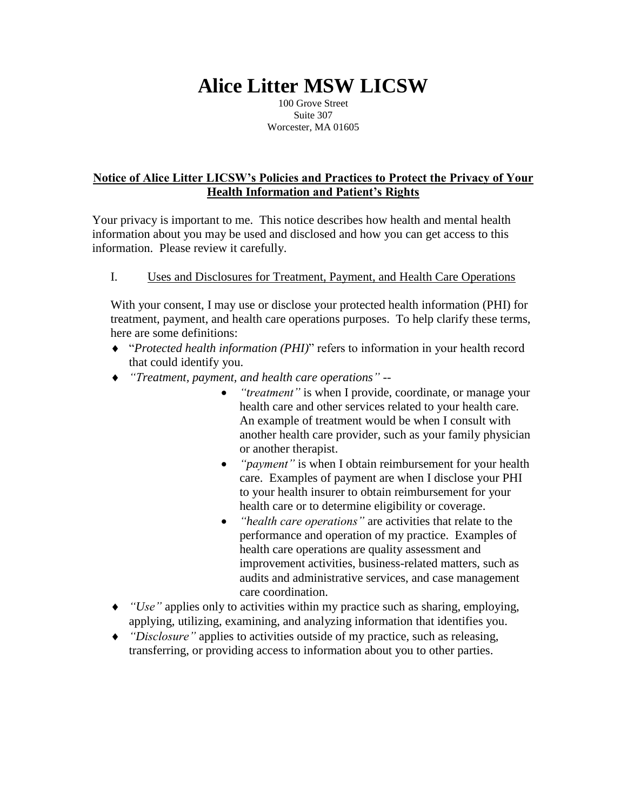# **Alice Litter MSW LICSW**

100 Grove Street Suite 307 Worcester, MA 01605

## **Notice of Alice Litter LICSW's Policies and Practices to Protect the Privacy of Your Health Information and Patient's Rights**

Your privacy is important to me. This notice describes how health and mental health information about you may be used and disclosed and how you can get access to this information. Please review it carefully.

# I. Uses and Disclosures for Treatment, Payment, and Health Care Operations

With your consent, I may use or disclose your protected health information (PHI) for treatment, payment, and health care operations purposes. To help clarify these terms, here are some definitions:

- "*Protected health information (PHI)*" refers to information in your health record that could identify you.
- *"Treatment, payment, and health care operations" --*
	- *"treatment"* is when I provide, coordinate, or manage your health care and other services related to your health care. An example of treatment would be when I consult with another health care provider, such as your family physician or another therapist.
	- *"payment"* is when I obtain reimbursement for your health care. Examples of payment are when I disclose your PHI to your health insurer to obtain reimbursement for your health care or to determine eligibility or coverage.
	- *"health care operations"* are activities that relate to the performance and operation of my practice. Examples of health care operations are quality assessment and improvement activities, business-related matters, such as audits and administrative services, and case management care coordination.
- *"Use"* applies only to activities within my practice such as sharing, employing, applying, utilizing, examining, and analyzing information that identifies you.
- *"Disclosure"* applies to activities outside of my practice, such as releasing, transferring, or providing access to information about you to other parties.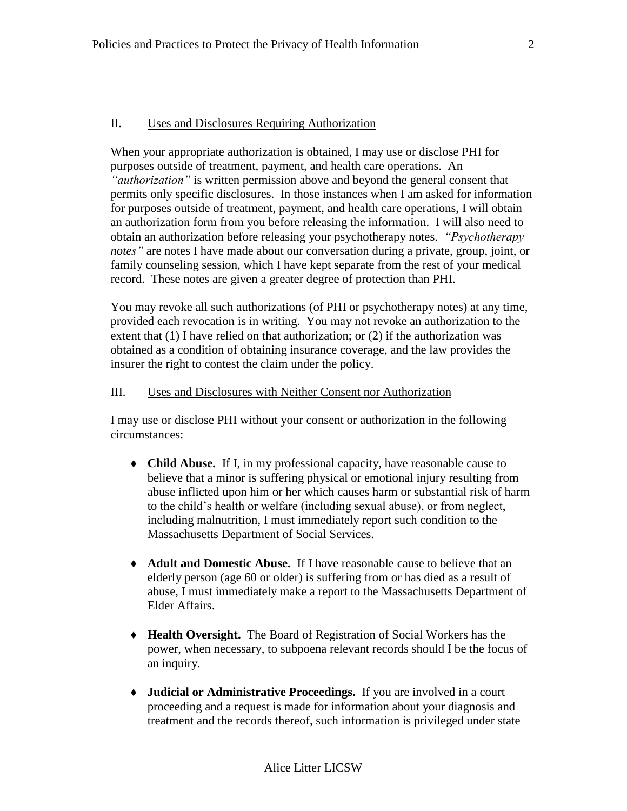#### II. Uses and Disclosures Requiring Authorization

When your appropriate authorization is obtained, I may use or disclose PHI for purposes outside of treatment, payment, and health care operations. An *"authorization"* is written permission above and beyond the general consent that permits only specific disclosures. In those instances when I am asked for information for purposes outside of treatment, payment, and health care operations, I will obtain an authorization form from you before releasing the information. I will also need to obtain an authorization before releasing your psychotherapy notes. *"Psychotherapy notes"* are notes I have made about our conversation during a private, group, joint, or family counseling session, which I have kept separate from the rest of your medical record. These notes are given a greater degree of protection than PHI.

You may revoke all such authorizations (of PHI or psychotherapy notes) at any time, provided each revocation is in writing. You may not revoke an authorization to the extent that (1) I have relied on that authorization; or (2) if the authorization was obtained as a condition of obtaining insurance coverage, and the law provides the insurer the right to contest the claim under the policy.

#### III. Uses and Disclosures with Neither Consent nor Authorization

I may use or disclose PHI without your consent or authorization in the following circumstances:

- **Child Abuse.** If I, in my professional capacity, have reasonable cause to believe that a minor is suffering physical or emotional injury resulting from abuse inflicted upon him or her which causes harm or substantial risk of harm to the child's health or welfare (including sexual abuse), or from neglect, including malnutrition, I must immediately report such condition to the Massachusetts Department of Social Services.
- **Adult and Domestic Abuse.** If I have reasonable cause to believe that an elderly person (age 60 or older) is suffering from or has died as a result of abuse, I must immediately make a report to the Massachusetts Department of Elder Affairs.
- **Health Oversight.** The Board of Registration of Social Workers has the power, when necessary, to subpoena relevant records should I be the focus of an inquiry.
- **Judicial or Administrative Proceedings.** If you are involved in a court proceeding and a request is made for information about your diagnosis and treatment and the records thereof, such information is privileged under state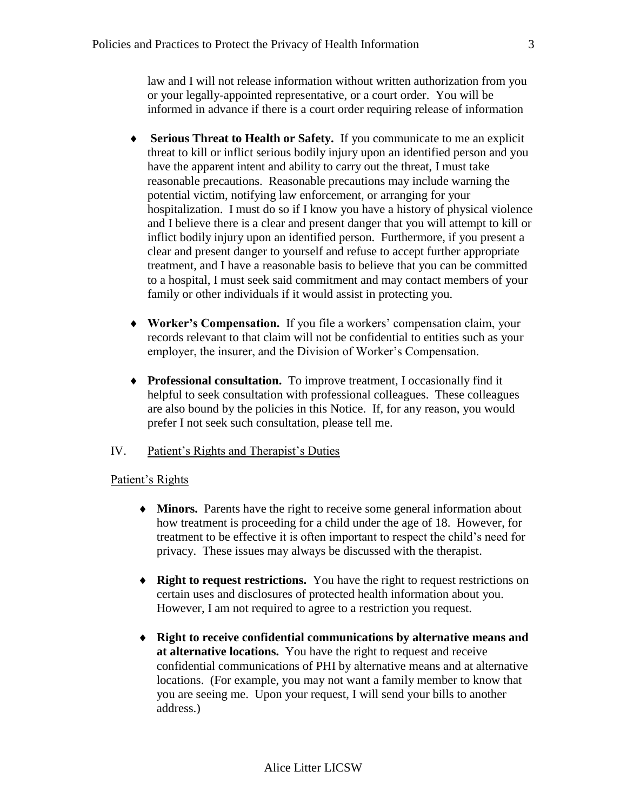law and I will not release information without written authorization from you or your legally-appointed representative, or a court order. You will be informed in advance if there is a court order requiring release of information

- **Serious Threat to Health or Safety.** If you communicate to me an explicit threat to kill or inflict serious bodily injury upon an identified person and you have the apparent intent and ability to carry out the threat, I must take reasonable precautions. Reasonable precautions may include warning the potential victim, notifying law enforcement, or arranging for your hospitalization. I must do so if I know you have a history of physical violence and I believe there is a clear and present danger that you will attempt to kill or inflict bodily injury upon an identified person. Furthermore, if you present a clear and present danger to yourself and refuse to accept further appropriate treatment, and I have a reasonable basis to believe that you can be committed to a hospital, I must seek said commitment and may contact members of your family or other individuals if it would assist in protecting you.
- **Worker's Compensation.** If you file a workers' compensation claim, your records relevant to that claim will not be confidential to entities such as your employer, the insurer, and the Division of Worker's Compensation.
- **Professional consultation.** To improve treatment, I occasionally find it helpful to seek consultation with professional colleagues. These colleagues are also bound by the policies in this Notice. If, for any reason, you would prefer I not seek such consultation, please tell me.

## IV. Patient's Rights and Therapist's Duties

## Patient's Rights

- **Minors.** Parents have the right to receive some general information about how treatment is proceeding for a child under the age of 18. However, for treatment to be effective it is often important to respect the child's need for privacy. These issues may always be discussed with the therapist.
- **Right to request restrictions.** You have the right to request restrictions on certain uses and disclosures of protected health information about you. However, I am not required to agree to a restriction you request.
- **Right to receive confidential communications by alternative means and at alternative locations.** You have the right to request and receive confidential communications of PHI by alternative means and at alternative locations. (For example, you may not want a family member to know that you are seeing me. Upon your request, I will send your bills to another address.)